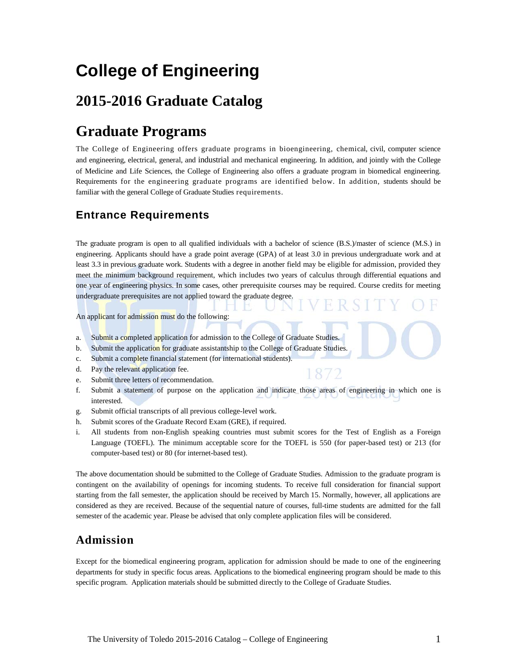# **College of Engineering**

# **2015-2016 Graduate Catalog**

# **Graduate Programs**

The College of Engineering offers graduate programs in bioengineering, chemical, civil, computer science and engineering, electrical, general, and industrial and mechanical engineering. In addition, and jointly with the College of Medicine and Life Sciences, the College of Engineering also offers a graduate program in biomedical engineering. Requirements for the engineering graduate programs are identified below. In addition, students should be familiar with the general College of Graduate Studies requirements.

# **Entrance Requirements**

The graduate program is open to all qualified individuals with a bachelor of science (B.S.)/master of science (M.S.) in engineering. Applicants should have a grade point average (GPA) of at least 3.0 in previous undergraduate work and at least 3.3 in previous graduate work. Students with a degree in another field may be eligible for admission, provided they meet the minimum background requirement, which includes two years of calculus through differential equations and one year of engineering physics. In some cases, other prerequisite courses may be required. Course credits for meeting undergraduate prerequisites are not applied toward the graduate degree.

An applicant for admission must do the following:

- a. Submit a completed application for admission to the College of Graduate Studies.
- b. Submit the application for graduate assistantship to the College of Graduate Studies.
- c. Submit a complete financial statement (for international students).
- d. Pay the relevant application fee.
- e. Submit three letters of recommendation.
- f. Submit a statement of purpose on the application and indicate those areas of engineering in which one is interested.

872

- g. Submit official transcripts of all previous college-level work.
- h. Submit scores of the Graduate Record Exam (GRE), if required.
- i. All students from non-English speaking countries must submit scores for the Test of English as a Foreign Language (TOEFL). The minimum acceptable score for the TOEFL is 550 (for paper-based test) or 213 (for computer-based test) or 80 (for internet-based test).

The above documentation should be submitted to the College of Graduate Studies. Admission to the graduate program is contingent on the availability of openings for incoming students. To receive full consideration for financial support starting from the fall semester, the application should be received by March 15. Normally, however, all applications are considered as they are received. Because of the sequential nature of courses, full-time students are admitted for the fall semester of the academic year. Please be advised that only complete application files will be considered.

# **Admission**

Except for the biomedical engineering program, application for admission should be made to one of the engineering departments for study in specific focus areas. Applications to the biomedical engineering program should be made to this specific program. Application materials should be submitted directly to the College of Graduate Studies.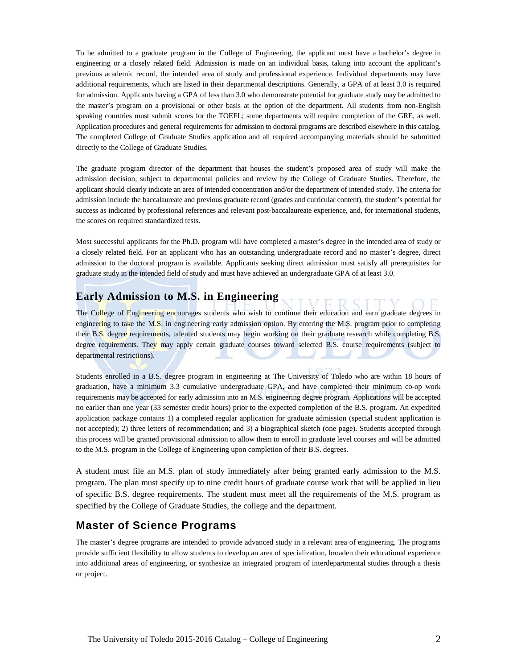To be admitted to a graduate program in the College of Engineering, the applicant must have a bachelor's degree in engineering or a closely related field. Admission is made on an individual basis, taking into account the applicant's previous academic record, the intended area of study and professional experience. Individual departments may have additional requirements, which are listed in their departmental descriptions. Generally, a GPA of at least 3.0 is required for admission. Applicants having a GPA of less than 3.0 who demonstrate potential for graduate study may be admitted to the master's program on a provisional or other basis at the option of the department. All students from non-English speaking countries must submit scores for the TOEFL; some departments will require completion of the GRE, as well. Application procedures and general requirements for admission to doctoral programs are described elsewhere in this catalog. The completed College of Graduate Studies application and all required accompanying materials should be submitted directly to the College of Graduate Studies.

The graduate program director of the department that houses the student's proposed area of study will make the admission decision, subject to departmental policies and review by the College of Graduate Studies. Therefore, the applicant should clearly indicate an area of intended concentration and/or the department of intended study. The criteria for admission include the baccalaureate and previous graduate record (grades and curricular content), the student's potential for success as indicated by professional references and relevant post-baccalaureate experience, and, for international students, the scores on required standardized tests.

Most successful applicants for the Ph.D. program will have completed a master's degree in the intended area of study or a closely related field. For an applicant who has an outstanding undergraduate record and no master's degree, direct admission to the doctoral program is available. Applicants seeking direct admission must satisfy all prerequisites for graduate study in the intended field of study and must have achieved an undergraduate GPA of at least 3.0.

# **Early Admission to M.S. in Engineering**

The College of Engineering encourages students who wish to continue their education and earn graduate degrees in engineering to take the M.S. in engineering early admission option. By entering the M.S. program prior to completing their B.S. degree requirements, talented students may begin working on their graduate research while completing B.S. degree requirements. They may apply certain graduate courses toward selected B.S. course requirements (subject to departmental restrictions).

Students enrolled in a B.S. degree program in engineering at The University of Toledo who are within 18 hours of graduation, have a minimum 3.3 cumulative undergraduate GPA, and have completed their minimum co-op work requirements may be accepted for early admission into an M.S. engineering degree program. Applications will be accepted no earlier than one year (33 semester credit hours) prior to the expected completion of the B.S. program. An expedited application package contains 1) a completed regular application for graduate admission (special student application is not accepted); 2) three letters of recommendation; and 3) a biographical sketch (one page). Students accepted through this process will be granted provisional admission to allow them to enroll in graduate level courses and will be admitted to the M.S. program in the College of Engineering upon completion of their B.S. degrees.

A student must file an M.S. plan of study immediately after being granted early admission to the M.S. program. The plan must specify up to nine credit hours of graduate course work that will be applied in lieu of specific B.S. degree requirements. The student must meet all the requirements of the M.S. program as specified by the College of Graduate Studies, the college and the department.

# **Master of Science Programs**

The master's degree programs are intended to provide advanced study in a relevant area of engineering. The programs provide sufficient flexibility to allow students to develop an area of specialization, broaden their educational experience into additional areas of engineering, or synthesize an integrated program of interdepartmental studies through a thesis or project.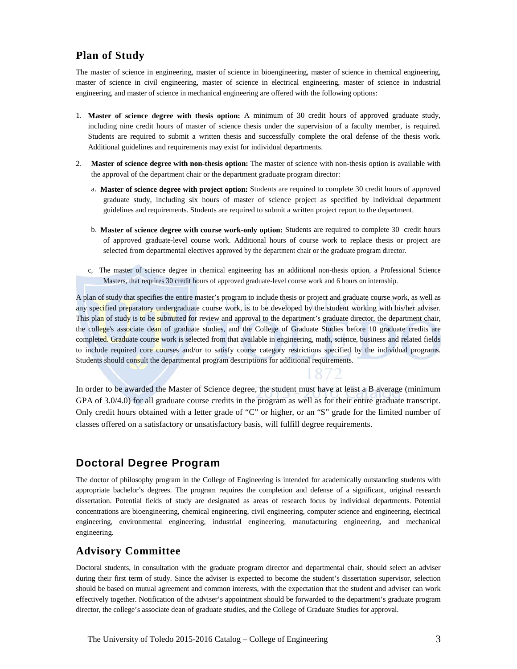### **Plan of Study**

The master of science in engineering, master of science in bioengineering, master of science in chemical engineering, master of science in civil engineering, master of science in electrical engineering, master of science in industrial engineering, and master of science in mechanical engineering are offered with the following options:

- 1. **Master of science degree with thesis option:** A minimum of 30 credit hours of approved graduate study, including nine credit hours of master of science thesis under the supervision of a faculty member, is required. Students are required to submit a written thesis and successfully complete the oral defense of the thesis work. Additional guidelines and requirements may exist for individual departments.
- 2. **Master of science degree with non-thesis option:** The master of science with non-thesis option is available with the approval of the department chair or the department graduate program director:
	- a. **Master of science degree with project option:** Students are required to complete 30 credit hours of approved graduate study, including six hours of master of science project as specified by individual department guidelines and requirements. Students are required to submit a written project report to the department.
	- b. **Master of science degree with course work-only option:** Students are required to complete 30 credit hours of approved graduate-level course work. Additional hours of course work to replace thesis or project are selected from departmental electives approved by the department chair or the graduate program director.
	- c, The master of science degree in chemical engineering has an additional non-thesis option, a Professional Science Masters, that requires 30 credit hours of approved graduate-level course work and 6 hours on internship.

A plan of study that specifies the entire master's program to include thesis or project and graduate course work, as well as any specified preparatory undergraduate course work, is to be developed by the student working with his/her adviser. This plan of study is to be submitted for review and approval to the department's graduate director, the department chair, the college's associate dean of graduate studies, and the College of Graduate Studies before 10 graduate credits are completed. Graduate course work is selected from that available in engineering, math, science, business and related fields to include required core courses and/or to satisfy course category restrictions specified by the individual programs. Students should consult the departmental program descriptions for additional requirements.

In order to be awarded the Master of Science degree, the student must have at least a B average (minimum GPA of 3.0/4.0) for all graduate course credits in the program as well as for their entire graduate transcript. Only credit hours obtained with a letter grade of "C" or higher, or an "S" grade for the limited number of classes offered on a satisfactory or unsatisfactory basis, will fulfill degree requirements.

## **Doctoral Degree Program**

The doctor of philosophy program in the College of Engineering is intended for academically outstanding students with appropriate bachelor's degrees. The program requires the completion and defense of a significant, original research dissertation. Potential fields of study are designated as areas of research focus by individual departments. Potential concentrations are bioengineering, chemical engineering, civil engineering, computer science and engineering, electrical engineering, environmental engineering, industrial engineering, manufacturing engineering, and mechanical engineering.

## **Advisory Committee**

Doctoral students, in consultation with the graduate program director and departmental chair, should select an adviser during their first term of study. Since the adviser is expected to become the student's dissertation supervisor, selection should be based on mutual agreement and common interests, with the expectation that the student and adviser can work effectively together. Notification of the adviser's appointment should be forwarded to the department's graduate program director, the college's associate dean of graduate studies, and the College of Graduate Studies for approval.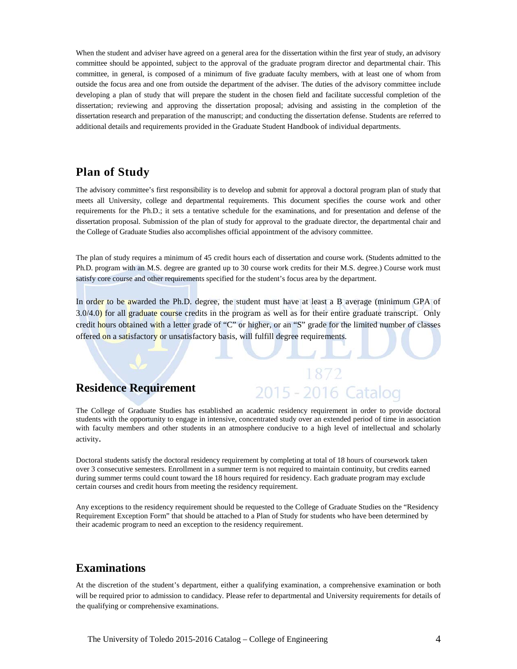When the student and adviser have agreed on a general area for the dissertation within the first year of study, an advisory committee should be appointed, subject to the approval of the graduate program director and departmental chair. This committee, in general, is composed of a minimum of five graduate faculty members, with at least one of whom from outside the focus area and one from outside the department of the adviser. The duties of the advisory committee include developing a plan of study that will prepare the student in the chosen field and facilitate successful completion of the dissertation; reviewing and approving the dissertation proposal; advising and assisting in the completion of the dissertation research and preparation of the manuscript; and conducting the dissertation defense. Students are referred to additional details and requirements provided in the Graduate Student Handbook of individual departments.

## **Plan of Study**

The advisory committee's first responsibility is to develop and submit for approval a doctoral program plan of study that meets all University, college and departmental requirements. This document specifies the course work and other requirements for the Ph.D.; it sets a tentative schedule for the examinations, and for presentation and defense of the dissertation proposal. Submission of the plan of study for approval to the graduate director, the departmental chair and the College of Graduate Studies also accomplishes official appointment of the advisory committee.

The plan of study requires a minimum of 45 credit hours each of dissertation and course work. (Students admitted to the Ph.D. program with an M.S. degree are granted up to 30 course work credits for their M.S. degree.) Course work must satisfy core course and other requirements specified for the student's focus area by the department.

In order to be awarded the Ph.D. degree, the student must have at least a B average (minimum GPA of 3.0/4.0) for all graduate course credits in the program as well as for their entire graduate transcript. Only credit hours obtained with a letter grade of "C" or higher, or an "S" grade for the limited number of classes offered on a satisfactory or unsatisfactory basis, will fulfill degree requirements.

## **Residence Requirement**

The College of Graduate Studies has established an academic residency requirement in order to provide doctoral students with the opportunity to engage in intensive, concentrated study over an extended period of time in association with faculty members and other students in an atmosphere conducive to a high level of intellectual and scholarly activity.

2015 - 2016 Catalog

Doctoral students satisfy the doctoral residency requirement by completing at total of 18 hours of coursework taken over 3 consecutive semesters. Enrollment in a summer term is not required to maintain continuity, but credits earned during summer terms could count toward the 18 hours required for residency. Each graduate program may exclude certain courses and credit hours from meeting the residency requirement.

Any exceptions to the residency requirement should be requested to the College of Graduate Studies on the "Residency Requirement Exception Form" that should be attached to a Plan of Study for students who have been determined by their academic program to need an exception to the residency requirement.

## **Examinations**

At the discretion of the student's department, either a qualifying examination, a comprehensive examination or both will be required prior to admission to candidacy. Please refer to departmental and University requirements for details of the qualifying or comprehensive examinations.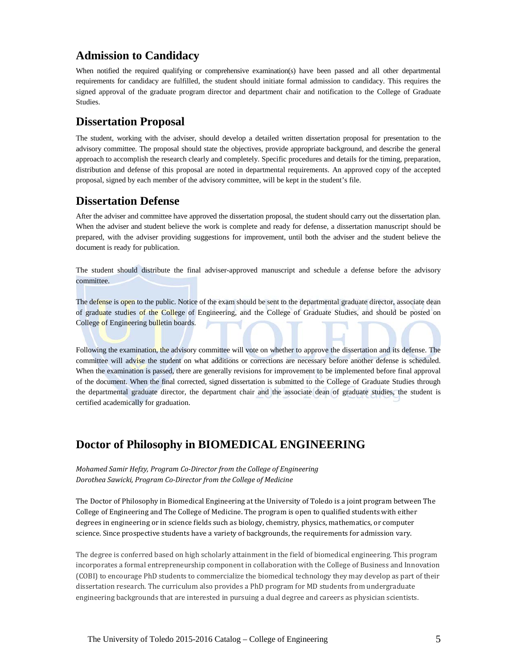## **Admission to Candidacy**

When notified the required qualifying or comprehensive examination(s) have been passed and all other departmental requirements for candidacy are fulfilled, the student should initiate formal admission to candidacy. This requires the signed approval of the graduate program director and department chair and notification to the College of Graduate Studies.

## **Dissertation Proposal**

The student, working with the adviser, should develop a detailed written dissertation proposal for presentation to the advisory committee. The proposal should state the objectives, provide appropriate background, and describe the general approach to accomplish the research clearly and completely. Specific procedures and details for the timing, preparation, distribution and defense of this proposal are noted in departmental requirements. An approved copy of the accepted proposal, signed by each member of the advisory committee, will be kept in the student's file.

### **Dissertation Defense**

After the adviser and committee have approved the dissertation proposal, the student should carry out the dissertation plan. When the adviser and student believe the work is complete and ready for defense, a dissertation manuscript should be prepared, with the adviser providing suggestions for improvement, until both the adviser and the student believe the document is ready for publication.

The student should distribute the final adviser-approved manuscript and schedule a defense before the advisory committee.

The defense is open to the public. Notice of the exam should be sent to the departmental graduate director, associate dean of graduate studies of the College of Engineering, and the College of Graduate Studies, and should be posted on College of Engineering bulletin boards.

Following the examination, the advisory committee will vote on whether to approve the dissertation and its defense. The committee will advise the student on what additions or corrections are necessary before another defense is scheduled. When the examination is passed, there are generally revisions for improvement to be implemented before final approval of the document. When the final corrected, signed dissertation is submitted to the College of Graduate Studies through the departmental graduate director, the department chair and the associate dean of graduate studies, the student is certified academically for graduation.

# **Doctor of Philosophy in BIOMEDICAL ENGINEERING**

*Mohamed Samir Hefzy, Program Co-Director from the College of Engineering Dorothea Sawicki, Program Co-Director from the College of Medicine*

The Doctor of Philosophy in Biomedical Engineering at the University of Toledo is a joint program between The College of Engineering and The College of Medicine. The program is open to qualified students with either degrees in engineering or in science fields such as biology, chemistry, physics, mathematics, or computer science. Since prospective students have a variety of backgrounds, the requirements for admission vary.

The degree is conferred based on high scholarly attainment in the field of biomedical engineering. This program incorporates a formal entrepreneurship component in collaboration with the College of Business and Innovation (COBI) to encourage PhD students to commercialize the biomedical technology they may develop as part of their dissertation research. The curriculum also provides a PhD program for MD students from undergraduate engineering backgrounds that are interested in pursuing a dual degree and careers as physician scientists.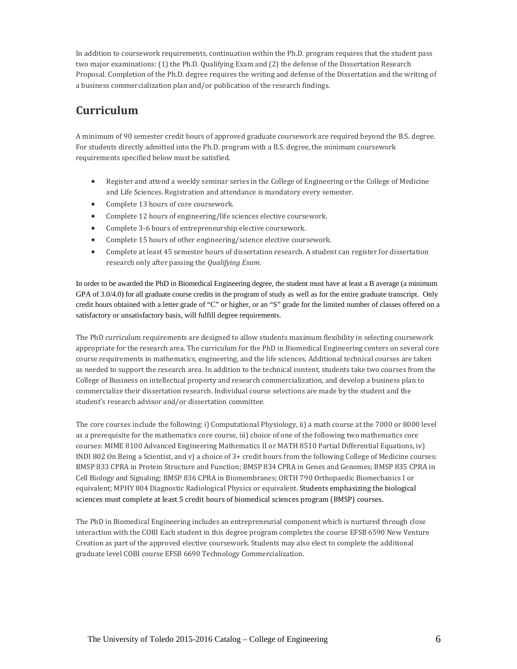In addition to coursework requirements, continuation within the Ph.D. program requires that the student pass two major examinations: (1) the Ph.D. Qualifying Exam and (2) the defense of the Dissertation Research Proposal. Completion of the Ph.D. degree requires the writing and defense of the Dissertation and the writing of a business commercialization plan and/or publication of the research findings.

# **Curriculum**

A minimum of 90 semester credit hours of approved graduate coursework are required beyond the B.S. degree. For students directly admitted into the Ph.D. program with a B.S. degree, the minimum coursework requirements specified below must be satisfied.

- Register and attend a weekly seminar series in the College of Engineering or the College of Medicine and Life Sciences. Registration and attendance is mandatory every semester.
- Complete 13 hours of core coursework.
- Complete 12 hours of engineering/life sciences elective coursework.
- Complete 3-6 hours of entrepreneurship elective coursework.
- Complete 15 hours of other engineering/science elective coursework.
- Complete at least 45 semester hours of dissertation research. A student can register for dissertation research only after passing the *Qualifying Exam*.

In order to be awarded the PhD in Biomedical Engineering degree, the student must have at least a B average (a minimum GPA of 3.0/4.0) for all graduate course credits in the program of study as well as for the entire graduate transcript. Only credit hours obtained with a letter grade of "C" or higher, or an "S" grade for the limited number of classes offered on a satisfactory or unsatisfactory basis, will fulfill degree requirements.

The PhD curriculum requirements are designed to allow students maximum flexibility in selecting coursework appropriate for the research area. The curriculum for the PhD in Biomedical Engineering centers on several core course requirements in mathematics, engineering, and the life sciences. Additional technical courses are taken as needed to support the research area. In addition to the technical content, students take two courses from the College of Business on intellectual property and research commercialization, and develop a business plan to commercialize their dissertation research. Individual course selections are made by the student and the student's research advisor and/or dissertation committee.

The core courses include the following: i) Computational Physiology, ii) a math course at the 7000 or 8000 level as a prerequisite for the mathematics core course, iii) choice of one of the following two mathematics core courses: MIME 8100 Advanced Engineering Mathematics II or MATH 8510 Partial Differential Equations, iv) INDI 802 On Being a Scientist, and v) a choice of 3+ credit hours from the following College of Medicine courses: BMSP 833 CPRA in Protein Structure and Function; BMSP 834 CPRA in Genes and Genomes; BMSP 835 CPRA in Cell Biology and Signaling; BMSP 836 CPRA in Biomembranes; ORTH 790 Orthopaedic Biomechanics I or equivalent; MPHY 804 Diagnostic Radiological Physics or equivalent. Students emphasizing the biological sciences must complete at least 5 credit hours of biomedical sciences program (BMSP) courses.

The PhD in Biomedical Engineering includes an entrepreneurial component which is nurtured through close interaction with the COBI Each student in this degree program completes the course EFSB 6590 New Venture Creation as part of the approved elective coursework. Students may also elect to complete the additional graduate level COBI course EFSB 6690 Technology Commercialization.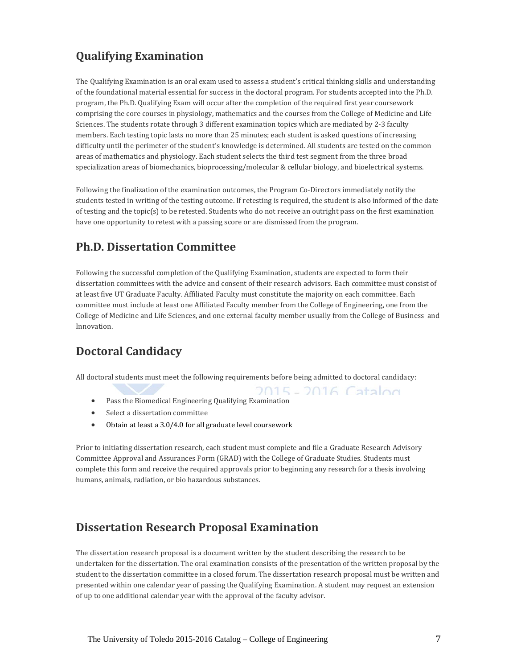# **Qualifying Examination**

The Qualifying Examination is an oral exam used to assess a student's critical thinking skills and understanding of the foundational material essential for success in the doctoral program. For students accepted into the Ph.D. program, the Ph.D. Qualifying Exam will occur after the completion of the required first year coursework comprising the core courses in physiology, mathematics and the courses from the College of Medicine and Life Sciences. The students rotate through 3 different examination topics which are mediated by 2-3 faculty members. Each testing topic lasts no more than 25 minutes; each student is asked questions of increasing difficulty until the perimeter of the student's knowledge is determined. All students are tested on the common areas of mathematics and physiology. Each student selects the third test segment from the three broad specialization areas of biomechanics, bioprocessing/molecular & cellular biology, and bioelectrical systems.

Following the finalization of the examination outcomes, the Program Co-Directors immediately notify the students tested in writing of the testing outcome. If retesting is required, the student is also informed of the date of testing and the topic(s) to be retested. Students who do not receive an outright pass on the first examination have one opportunity to retest with a passing score or are dismissed from the program.

# **Ph.D. Dissertation Committee**

Following the successful completion of the Qualifying Examination, students are expected to form their dissertation committees with the advice and consent of their research advisors. Each committee must consist of at least five UT Graduate Faculty. Affiliated Faculty must constitute the majority on each committee. Each committee must include at least one Affiliated Faculty member from the College of Engineering, one from the College of Medicine and Life Sciences, and one external faculty member usually from the College of Business and Innovation.

# **Doctoral Candidacy**

All doctoral students must meet the following requirements before being admitted to doctoral candidacy:

2015 - 2016 Catalog • Pass the Biomedical Engineering Qualifying Examination

- Select a dissertation committee
- Obtain at least a 3.0/4.0 for all graduate level coursework

Prior to initiating dissertation research, each student must complete and file a Graduate Research Advisory Committee Approval and Assurances Form (GRAD) with the College of Graduate Studies. Students must complete this form and receive the required approvals prior to beginning any research for a thesis involving humans, animals, radiation, or bio hazardous substances.

# **Dissertation Research Proposal Examination**

The dissertation research proposal is a document written by the student describing the research to be undertaken for the dissertation. The oral examination consists of the presentation of the written proposal by the student to the dissertation committee in a closed forum. The dissertation research proposal must be written and presented within one calendar year of passing the Qualifying Examination. A student may request an extension of up to one additional calendar year with the approval of the faculty advisor.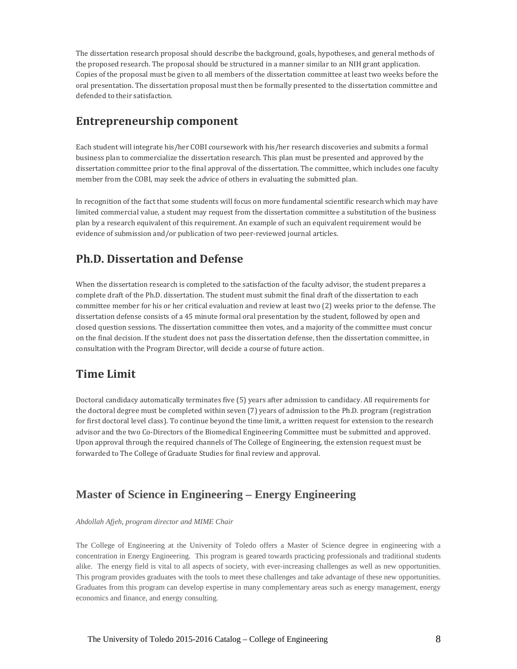The dissertation research proposal should describe the background, goals, hypotheses, and general methods of the proposed research. The proposal should be structured in a manner similar to an NIH grant application. Copies of the proposal must be given to all members of the dissertation committee at least two weeks before the oral presentation. The dissertation proposal must then be formally presented to the dissertation committee and defended to their satisfaction.

# **Entrepreneurship component**

Each student will integrate his/her COBI coursework with his/her research discoveries and submits a formal business plan to commercialize the dissertation research. This plan must be presented and approved by the dissertation committee prior to the final approval of the dissertation. The committee, which includes one faculty member from the COBI, may seek the advice of others in evaluating the submitted plan.

In recognition of the fact that some students will focus on more fundamental scientific research which may have limited commercial value, a student may request from the dissertation committee a substitution of the business plan by a research equivalent of this requirement. An example of such an equivalent requirement would be evidence of submission and/or publication of two peer-reviewed journal articles.

# **Ph.D. Dissertation and Defense**

When the dissertation research is completed to the satisfaction of the faculty advisor, the student prepares a complete draft of the Ph.D. dissertation. The student must submit the final draft of the dissertation to each committee member for his or her critical evaluation and review at least two (2) weeks prior to the defense. The dissertation defense consists of a 45 minute formal oral presentation by the student, followed by open and closed question sessions. The dissertation committee then votes, and a majority of the committee must concur on the final decision. If the student does not pass the dissertation defense, then the dissertation committee, in consultation with the Program Director, will decide a course of future action.

# **Time Limit**

Doctoral candidacy automatically terminates five (5) years after admission to candidacy. All requirements for the doctoral degree must be completed within seven (7) years of admission to the Ph.D. program (registration for first doctoral level class). To continue beyond the time limit, a written request for extension to the research advisor and the two Co-Directors of the Biomedical Engineering Committee must be submitted and approved. Upon approval through the required channels of The College of Engineering, the extension request must be forwarded to The College of Graduate Studies for final review and approval.

# **Master of Science in Engineering – Energy Engineering**

*Abdollah Afjeh, program director and MIME Chair*

The College of Engineering at the University of Toledo offers a Master of Science degree in engineering with a concentration in Energy Engineering. This program is geared towards practicing professionals and traditional students alike. The energy field is vital to all aspects of society, with ever-increasing challenges as well as new opportunities. This program provides graduates with the tools to meet these challenges and take advantage of these new opportunities. Graduates from this program can develop expertise in many complementary areas such as energy management, energy economics and finance, and energy consulting.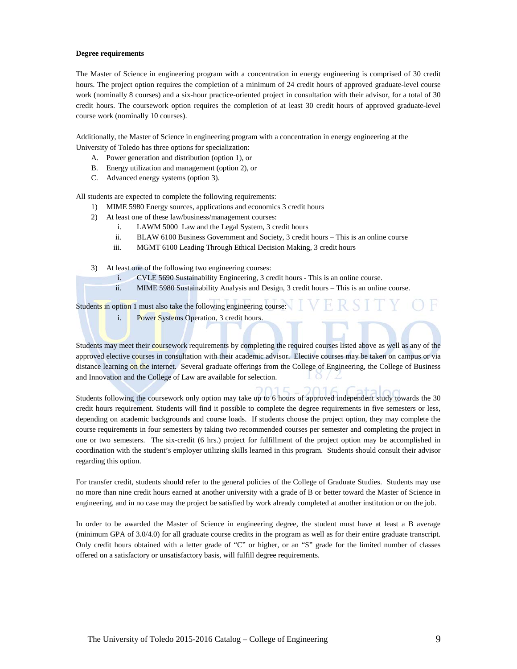#### **Degree requirements**

The Master of Science in engineering program with a concentration in energy engineering is comprised of 30 credit hours. The project option requires the completion of a minimum of 24 credit hours of approved graduate-level course work (nominally 8 courses) and a six-hour practice-oriented project in consultation with their advisor, for a total of 30 credit hours. The coursework option requires the completion of at least 30 credit hours of approved graduate-level course work (nominally 10 courses).

Additionally, the Master of Science in engineering program with a concentration in energy engineering at the University of Toledo has three options for specialization:

- A. Power generation and distribution (option 1), or
- B. Energy utilization and management (option 2), or
- C. Advanced energy systems (option 3).

All students are expected to complete the following requirements:

- 1) MIME 5980 Energy sources, applications and economics 3 credit hours
- 2) At least one of these law/business/management courses:
	- i. LAWM 5000 Law and the Legal System, 3 credit hours
	- ii. BLAW 6100 Business Government and Society, 3 credit hours This is an online course
	- iii. MGMT 6100 Leading Through Ethical Decision Making, 3 credit hours

3) At least one of the following two engineering courses:

- i. CVLE 5690 Sustainability Engineering, 3 credit hours This is an online course.
- ii. MIME 5980 Sustainability Analysis and Design, 3 credit hours This is an online course.

Students in option 1 must also take the following engineering course:

i. Power Systems Operation, 3 credit hours.

Students may meet their coursework requirements by completing the required courses listed above as well as any of the approved elective courses in consultation with their academic advisor. Elective courses may be taken on campus or via distance learning on the internet. Several graduate offerings from the College of Engineering, the College of Business and Innovation and the College of Law are available for selection.

Students following the coursework only option may take up to 6 hours of approved independent study towards the 30 credit hours requirement. Students will find it possible to complete the degree requirements in five semesters or less, depending on academic backgrounds and course loads. If students choose the project option, they may complete the course requirements in four semesters by taking two recommended courses per semester and completing the project in one or two semesters. The six-credit (6 hrs.) project for fulfillment of the project option may be accomplished in coordination with the student's employer utilizing skills learned in this program. Students should consult their advisor regarding this option.

For transfer credit, students should refer to the general policies of the College of Graduate Studies. Students may use no more than nine credit hours earned at another university with a grade of B or better toward the Master of Science in engineering, and in no case may the project be satisfied by work already completed at another institution or on the job.

In order to be awarded the Master of Science in engineering degree, the student must have at least a B average (minimum GPA of 3.0/4.0) for all graduate course credits in the program as well as for their entire graduate transcript. Only credit hours obtained with a letter grade of "C" or higher, or an "S" grade for the limited number of classes offered on a satisfactory or unsatisfactory basis, will fulfill degree requirements.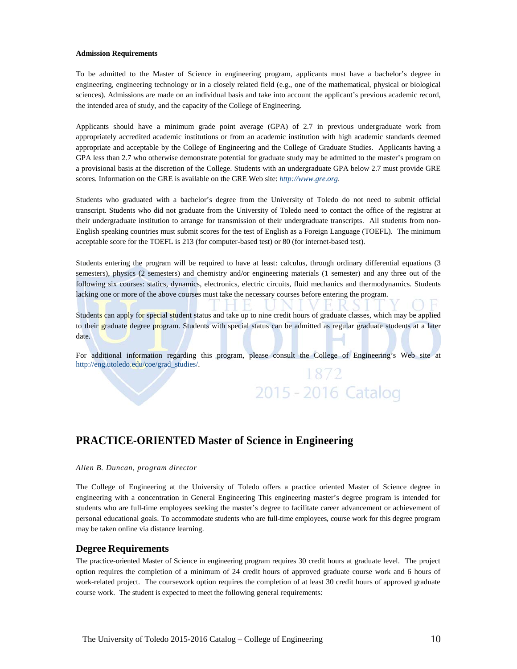#### **Admission Requirements**

To be admitted to the Master of Science in engineering program, applicants must have a bachelor's degree in engineering, engineering technology or in a closely related field (e.g., one of the mathematical, physical or biological sciences). Admissions are made on an individual basis and take into account the applicant's previous academic record, the intended area of study, and the capacity of the College of Engineering.

Applicants should have a minimum grade point average (GPA) of 2.7 in previous undergraduate work from appropriately accredited academic institutions or from an academic institution with high academic standards deemed appropriate and acceptable by the College of Engineering and the College of Graduate Studies. Applicants having a GPA less than 2.7 who otherwise demonstrate potential for graduate study may be admitted to the master's program on a provisional basis at the discretion of the College. Students with an undergraduate GPA below 2.7 must provide GRE scores. Information on the GRE is available on the GRE Web site: *[http://www.gre.org](http://www.gre.org/)*.

Students who graduated with a bachelor's degree from the University of Toledo do not need to submit official transcript. Students who did not graduate from the University of Toledo need to contact the office of the registrar at their undergraduate institution to arrange for transmission of their undergraduate transcripts. All students from non-English speaking countries must submit scores for the test of English as a Foreign Language (TOEFL). The minimum acceptable score for the TOEFL is 213 (for computer-based test) or 80 (for internet-based test).

Students entering the program will be required to have at least: calculus, through ordinary differential equations (3 semesters), physics (2 semesters) and chemistry and/or engineering materials (1 semester) and any three out of the following six courses: statics, dynamics, electronics, electric circuits, fluid mechanics and thermodynamics. Students lacking one or more of the above courses must take the necessary courses before entering the program.

Students can apply for special student status and take up to nine credit hours of graduate classes, which may be applied to their graduate degree program. Students with special status can be admitted as regular graduate students at a later date.

For additional information regarding this program, please consult the College of Engineering's Web site at [http://eng.utoledo.edu/coe/grad\\_studies/.](http://eng.utoledo.edu/coe/grad_studies/) 1872

2015 - 2016 Catalog

# **PRACTICE-ORIENTED Master of Science in Engineering**

#### *Allen B. Duncan, program director*

The College of Engineering at the University of Toledo offers a practice oriented Master of Science degree in engineering with a concentration in General Engineering This engineering master's degree program is intended for students who are full-time employees seeking the master's degree to facilitate career advancement or achievement of personal educational goals. To accommodate students who are full-time employees, course work for this degree program may be taken online via distance learning.

#### **Degree Requirements**

The practice-oriented Master of Science in engineering program requires 30 credit hours at graduate level. The project option requires the completion of a minimum of 24 credit hours of approved graduate course work and 6 hours of work-related project. The coursework option requires the completion of at least 30 credit hours of approved graduate course work. The student is expected to meet the following general requirements: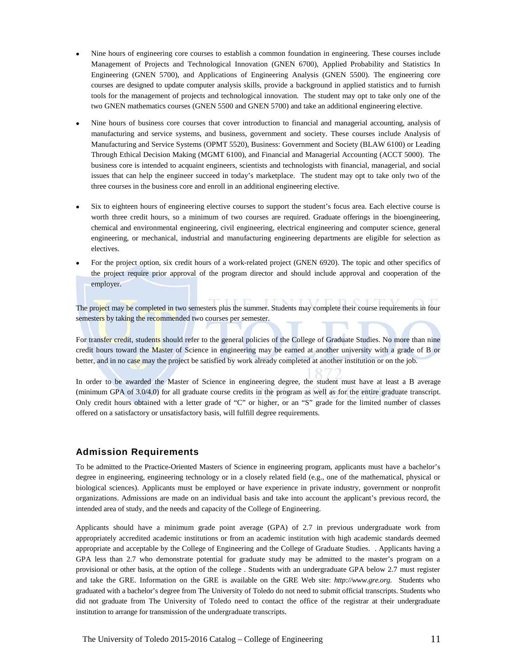- Nine hours of engineering core courses to establish a common foundation in engineering. These courses include Management of Projects and Technological Innovation (GNEN 6700), Applied Probability and Statistics In Engineering (GNEN 5700), and Applications of Engineering Analysis (GNEN 5500). The engineering core courses are designed to update computer analysis skills, provide a background in applied statistics and to furnish tools for the management of projects and technological innovation. The student may opt to take only one of the two GNEN mathematics courses (GNEN 5500 and GNEN 5700) and take an additional engineering elective.
- Nine hours of business core courses that cover introduction to financial and managerial accounting, analysis of manufacturing and service systems, and business, government and society. These courses include Analysis of Manufacturing and Service Systems (OPMT 5520), Business: Government and Society (BLAW 6100) or Leading Through Ethical Decision Making (MGMT 6100), and Financial and Managerial Accounting (ACCT 5000). The business core is intended to acquaint engineers, scientists and technologists with financial, managerial, and social issues that can help the engineer succeed in today's marketplace. The student may opt to take only two of the three courses in the business core and enroll in an additional engineering elective.
- Six to eighteen hours of engineering elective courses to support the student's focus area. Each elective course is worth three credit hours, so a minimum of two courses are required. Graduate offerings in the bioengineering, chemical and environmental engineering, civil engineering, electrical engineering and computer science, general engineering, or mechanical, industrial and manufacturing engineering departments are eligible for selection as electives.
- For the project option, six credit hours of a work-related project (GNEN 6920). The topic and other specifics of the project require prior approval of the program director and should include approval and cooperation of the employer.

TTT The project may be completed in two semesters plus the summer. Students may complete their course requirements in four semesters by taking the recommended two courses per semester.

 $T$  D  $O$   $T$   $T$   $T$ 

For transfer credit, students should refer to the general policies of the College of Graduate Studies. No more than nine credit hours toward the Master of Science in engineering may be earned at another university with a grade of B or better, and in no case may the project be satisfied by work already completed at another institution or on the job.

In order to be awarded the Master of Science in engineering degree, the student must have at least a B average (minimum GPA of 3.0/4.0) for all graduate course credits in the program as well as for the entire graduate transcript. Only credit hours obtained with a letter grade of "C" or higher, or an "S" grade for the limited number of classes offered on a satisfactory or unsatisfactory basis, will fulfill degree requirements.

#### **Admission Requirements**

To be admitted to the Practice-Oriented Masters of Science in engineering program, applicants must have a bachelor's degree in engineering, engineering technology or in a closely related field (e.g., one of the mathematical, physical or biological sciences). Applicants must be employed or have experience in private industry, government or nonprofit organizations. Admissions are made on an individual basis and take into account the applicant's previous record, the intended area of study, and the needs and capacity of the College of Engineering.

Applicants should have a minimum grade point average (GPA) of 2.7 in previous undergraduate work from appropriately accredited academic institutions or from an academic institution with high academic standards deemed appropriate and acceptable by the College of Engineering and the College of Graduate Studies. . Applicants having a GPA less than 2.7 who demonstrate potential for graduate study may be admitted to the master's program on a provisional or other basis, at the option of the college . Students with an undergraduate GPA below 2.7 must register and take the GRE. Information on the GRE is available on the GRE Web site: *http://www.gre.org.* Students who graduated with a bachelor's degree from The University of Toledo do not need to submit official transcripts. Students who did not graduate from The University of Toledo need to contact the office of the registrar at their undergraduate institution to arrange for transmission of the undergraduate transcripts.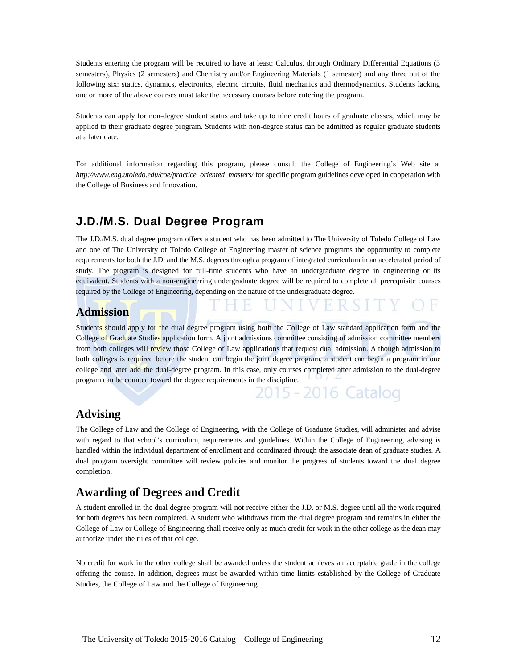Students entering the program will be required to have at least: Calculus, through Ordinary Differential Equations (3 semesters), Physics (2 semesters) and Chemistry and/or Engineering Materials (1 semester) and any three out of the following six: statics, dynamics, electronics, electric circuits, fluid mechanics and thermodynamics. Students lacking one or more of the above courses must take the necessary courses before entering the program.

Students can apply for non-degree student status and take up to nine credit hours of graduate classes, which may be applied to their graduate degree program. Students with non-degree status can be admitted as regular graduate students at a later date.

For additional information regarding this program, please consult the College of Engineering's Web site at *http://www.eng.utoledo.edu/coe/practice\_oriented\_masters/* for specific program guidelines developed in cooperation with the College of Business and Innovation.

# **J.D./M.S. Dual Degree Program**

The J.D./M.S. dual degree program offers a student who has been admitted to The University of Toledo College of Law and one of The University of Toledo College of Engineering master of science programs the opportunity to complete requirements for both the J.D. and the M.S. degrees through a program of integrated curriculum in an accelerated period of study. The program is designed for full-time students who have an undergraduate degree in engineering or its equivalent. Students with a non-engineering undergraduate degree will be required to complete all prerequisite courses required by the College of Engineering, depending on the nature of the undergraduate degree.

# **Admission**

Students should apply for the dual degree program using both the College of Law standard application form and the College of Graduate Studies application form. A joint admissions committee consisting of admission committee members from both colleges will review those College of Law applications that request dual admission. Although admission to both colleges is required before the student can begin the joint degree program, a student can begin a program in one college and later add the dual-degree program. In this case, only courses completed after admission to the dual-degree program can be counted toward the degree requirements in the discipline.

2015 - 2016 Catalog

### **Advising**

The College of Law and the College of Engineering, with the College of Graduate Studies, will administer and advise with regard to that school's curriculum, requirements and guidelines. Within the College of Engineering, advising is handled within the individual department of enrollment and coordinated through the associate dean of graduate studies. A dual program oversight committee will review policies and monitor the progress of students toward the dual degree completion.

## **Awarding of Degrees and Credit**

A student enrolled in the dual degree program will not receive either the J.D. or M.S. degree until all the work required for both degrees has been completed. A student who withdraws from the dual degree program and remains in either the College of Law or College of Engineering shall receive only as much credit for work in the other college as the dean may authorize under the rules of that college.

No credit for work in the other college shall be awarded unless the student achieves an acceptable grade in the college offering the course. In addition, degrees must be awarded within time limits established by the College of Graduate Studies, the College of Law and the College of Engineering.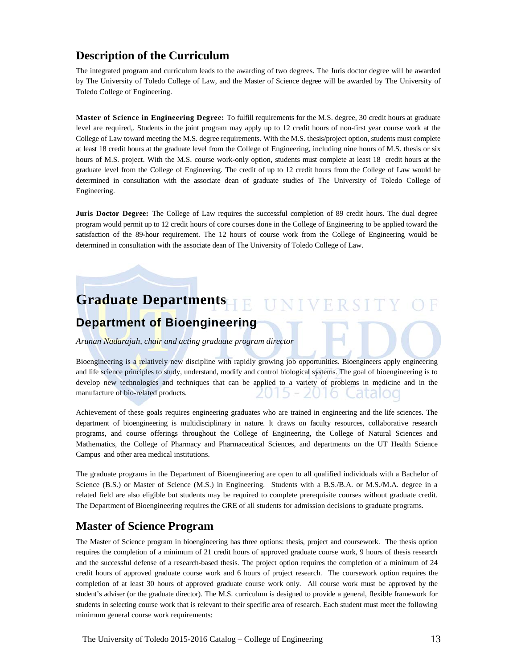# **Description of the Curriculum**

The integrated program and curriculum leads to the awarding of two degrees. The Juris doctor degree will be awarded by The University of Toledo College of Law, and the Master of Science degree will be awarded by The University of Toledo College of Engineering.

**Master of Science in Engineering Degree:** To fulfill requirements for the M.S. degree, 30 credit hours at graduate level are required,. Students in the joint program may apply up to 12 credit hours of non-first year course work at the College of Law toward meeting the M.S. degree requirements. With the M.S. thesis/project option, students must complete at least 18 credit hours at the graduate level from the College of Engineering, including nine hours of M.S. thesis or six hours of M.S. project. With the M.S. course work-only option, students must complete at least 18 credit hours at the graduate level from the College of Engineering. The credit of up to 12 credit hours from the College of Law would be determined in consultation with the associate dean of graduate studies of The University of Toledo College of Engineering.

**Juris Doctor Degree:** The College of Law requires the successful completion of 89 credit hours. The dual degree program would permit up to 12 credit hours of core courses done in the College of Engineering to be applied toward the satisfaction of the 89-hour requirement. The 12 hours of course work from the College of Engineering would be determined in consultation with the associate dean of The University of Toledo College of Law.

#### **Graduate Departments NIVERSI**  $\mathbf{U}$ **Department of Bioengineering**

*Arunan Nadarajah, chair and acting graduate program director*

Bioengineering is a relatively new discipline with rapidly growing job opportunities. Bioengineers apply engineering and life science principles to study, understand, modify and control biological systems. The goal of bioengineering is to develop new technologies and techniques that can be applied to a variety of problems in medicine and in the manufacture of bio-related products. araioc

Achievement of these goals requires engineering graduates who are trained in engineering and the life sciences. The department of bioengineering is multidisciplinary in nature. It draws on faculty resources, collaborative research programs, and course offerings throughout the College of Engineering, the College of Natural Sciences and Mathematics, the College of Pharmacy and Pharmaceutical Sciences, and departments on the UT Health Science Campus and other area medical institutions.

The graduate programs in the Department of Bioengineering are open to all qualified individuals with a Bachelor of Science (B.S.) or Master of Science (M.S.) in Engineering. Students with a B.S./B.A. or M.S./M.A. degree in a related field are also eligible but students may be required to complete prerequisite courses without graduate credit. The Department of Bioengineering requires the GRE of all students for admission decisions to graduate programs.

# **Master of Science Program**

The Master of Science program in bioengineering has three options: thesis, project and coursework. The thesis option requires the completion of a minimum of 21 credit hours of approved graduate course work, 9 hours of thesis research and the successful defense of a research-based thesis. The project option requires the completion of a minimum of 24 credit hours of approved graduate course work and 6 hours of project research. The coursework option requires the completion of at least 30 hours of approved graduate course work only. All course work must be approved by the student's adviser (or the graduate director). The M.S. curriculum is designed to provide a general, flexible framework for students in selecting course work that is relevant to their specific area of research. Each student must meet the following minimum general course work requirements: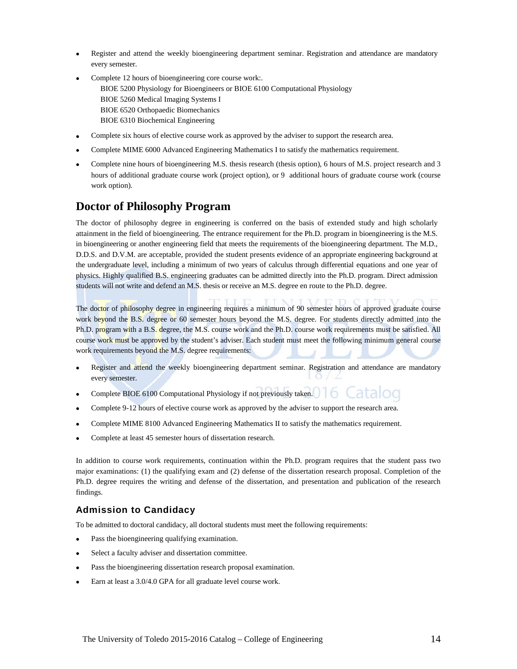- Register and attend the weekly bioengineering department seminar. Registration and attendance are mandatory every semester.
- Complete 12 hours of bioengineering core course work:. BIOE 5200 Physiology for Bioengineers or BIOE 6100 Computational Physiology BIOE 5260 Medical Imaging Systems I BIOE 6520 Orthopaedic Biomechanics BIOE 6310 Biochemical Engineering
- Complete six hours of elective course work as approved by the adviser to support the research area.
- Complete MIME 6000 Advanced Engineering Mathematics I to satisfy the mathematics requirement.
- Complete nine hours of bioengineering M.S. thesis research (thesis option), 6 hours of M.S. project research and 3 hours of additional graduate course work (project option), or 9 additional hours of graduate course work (course work option).

### **Doctor of Philosophy Program**

The doctor of philosophy degree in engineering is conferred on the basis of extended study and high scholarly attainment in the field of bioengineering. The entrance requirement for the Ph.D. program in bioengineering is the M.S. in bioengineering or another engineering field that meets the requirements of the bioengineering department. The M.D., D.D.S. and D.V.M. are acceptable, provided the student presents evidence of an appropriate engineering background at the undergraduate level, including a minimum of two years of calculus through differential equations and one year of physics. Highly qualified B.S. engineering graduates can be admitted directly into the Ph.D. program. Direct admission students will not write and defend an M.S. thesis or receive an M.S. degree en route to the Ph.D. degree.

The doctor of philosophy degree in engineering requires a minimum of 90 semester hours of approved graduate course work beyond the B.S. degree or 60 semester hours beyond the M.S. degree. For students directly admitted into the Ph.D. program with a B.S. degree, the M.S. course work and the Ph.D. course work requirements must be satisfied. All course work must be approved by the student's adviser. Each student must meet the following minimum general course work requirements beyond the M.S. degree requirements:

- Register and attend the weekly bioengineering department seminar. Registration and attendance are mandatory every semester.
- 6 • Complete BIOE 6100 Computational Physiology if not previously taken.
- Complete 9-12 hours of elective course work as approved by the adviser to support the research area.
- Complete MIME 8100 Advanced Engineering Mathematics II to satisfy the mathematics requirement.
- Complete at least 45 semester hours of dissertation research.

In addition to course work requirements, continuation within the Ph.D. program requires that the student pass two major examinations: (1) the qualifying exam and (2) defense of the dissertation research proposal. Completion of the Ph.D. degree requires the writing and defense of the dissertation, and presentation and publication of the research findings.

#### **Admission to Candidacy**

To be admitted to doctoral candidacy, all doctoral students must meet the following requirements:

- Pass the bioengineering qualifying examination.
- Select a faculty adviser and dissertation committee.
- Pass the bioengineering dissertation research proposal examination.
- Earn at least a 3.0/4.0 GPA for all graduate level course work.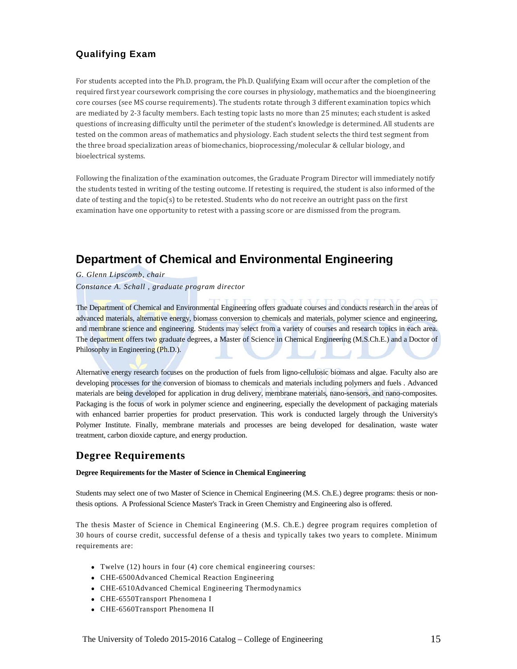### **Qualifying Exam**

For students accepted into the Ph.D. program, the Ph.D. Qualifying Exam will occur after the completion of the required first year coursework comprising the core courses in physiology, mathematics and the bioengineering core courses (see MS course requirements). The students rotate through 3 different examination topics which are mediated by 2-3 faculty members. Each testing topic lasts no more than 25 minutes; each student is asked questions of increasing difficulty until the perimeter of the student's knowledge is determined. All students are tested on the common areas of mathematics and physiology. Each student selects the third test segment from the three broad specialization areas of biomechanics, bioprocessing/molecular & cellular biology, and bioelectrical systems.

Following the finalization of the examination outcomes, the Graduate Program Director will immediately notify the students tested in writing of the testing outcome. If retesting is required, the student is also informed of the date of testing and the topic(s) to be retested. Students who do not receive an outright pass on the first examination have one opportunity to retest with a passing score or are dismissed from the program.

# **Department of Chemical and Environmental Engineering**

*G. Glenn Lipscomb, chair*

*Constance A. Schall , graduate program director*

The Department of Chemical and Environmental Engineering offers graduate courses and conducts research in the areas of advanced materials, alternative energy, biomass conversion to chemicals and materials, polymer science and engineering, and membrane science and engineering. Students may select from a variety of courses and research topics in each area. The department offers two graduate degrees, a Master of Science in Chemical Engineering (M.S.Ch.E.) and a Doctor of Philosophy in Engineering (Ph.D.).

Alternative energy research focuses on the production of fuels from ligno-cellulosic biomass and algae. Faculty also are developing processes for the conversion of biomass to chemicals and materials including polymers and fuels . Advanced materials are being developed for application in drug delivery, membrane materials, nano-sensors, and nano-composites. Packaging is the focus of work in polymer science and engineering, especially the development of packaging materials with enhanced barrier properties for product preservation. This work is conducted largely through the University's Polymer Institute. Finally, membrane materials and processes are being developed for desalination, waste water treatment, carbon dioxide capture, and energy production.

## **Degree Requirements**

#### **Degree Requirements for the Master of Science in Chemical Engineering**

Students may select one of two Master of Science in Chemical Engineering (M.S. Ch.E.) degree programs: thesis or nonthesis options. A Professional Science Master's Track in Green Chemistry and Engineering also is offered.

The thesis Master of Science in Chemical Engineering (M.S. Ch.E.) degree program requires completion of 30 hours of course credit, successful defense of a thesis and typically takes two years to complete. Minimum requirements are:

- Twelve (12) hours in four (4) core chemical engineering courses:
- CHE-6500Advanced Chemical Reaction Engineering
- CHE-6510Advanced Chemical Engineering Thermodynamics
- CHE-6550Transport Phenomena I
- CHE-6560Transport Phenomena II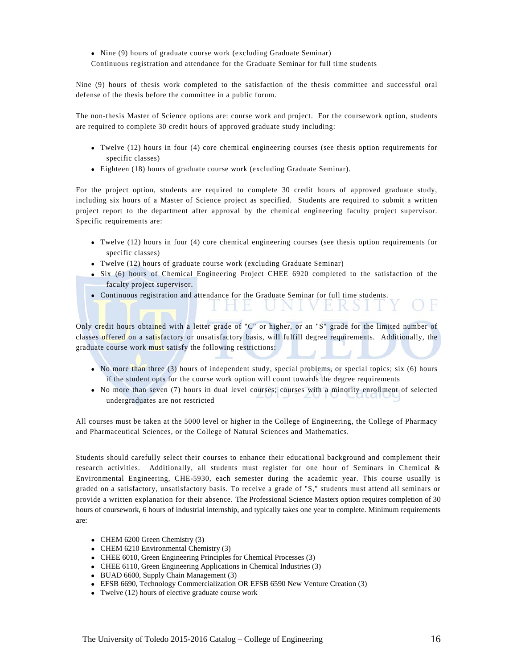• Nine (9) hours of graduate course work (excluding Graduate Seminar) Continuous registration and attendance for the Graduate Seminar for full time students

Nine (9) hours of thesis work completed to the satisfaction of the thesis committee and successful oral defense of the thesis before the committee in a public forum.

The non-thesis Master of Science options are: course work and project. For the coursework option, students are required to complete 30 credit hours of approved graduate study including:

- Twelve (12) hours in four (4) core chemical engineering courses (see thesis option requirements for specific classes)
- Eighteen (18) hours of graduate course work (excluding Graduate Seminar).

For the project option, students are required to complete 30 credit hours of approved graduate study, including six hours of a Master of Science project as specified. Students are required to submit a written project report to the department after approval by the chemical engineering faculty project supervisor. Specific requirements are:

- Twelve (12) hours in four (4) core chemical engineering courses (see thesis option requirements for specific classes)
- Twelve (12) hours of graduate course work (excluding Graduate Seminar)
- Six (6) hours of Chemical Engineering Project CHEE 6920 completed to the satisfaction of the faculty project supervisor.
- Continuous registration and attendance for the Graduate Seminar for full time students.

Only credit hours obtained with a letter grade of "C" or higher, or an "S" grade for the limited number of classes offered on a satisfactory or unsatisfactory basis, will fulfill degree requirements. Additionally, the graduate course work must satisfy the following restrictions:

- No more than three (3) hours of independent study, special problems, or special topics; six (6) hours if the student opts for the course work option will count towards the degree requirements
- No more than seven (7) hours in dual level courses; courses with a minority enrollment of selected undergraduates are not restricted

All courses must be taken at the 5000 level or higher in the College of Engineering, the College of Pharmacy and Pharmaceutical Sciences, or the College of Natural Sciences and Mathematics.

Students should carefully select their courses to enhance their educational background and complement their research activities. Additionally, all students must register for one hour of Seminars in Chemical & Environmental Engineering, CHE-5930, each semester during the academic year. This course usually is graded on a satisfactory, unsatisfactory basis. To receive a grade of "S," students must attend all seminars or provide a written explanation for their absence. The Professional Science Masters option requires completion of 30 hours of coursework, 6 hours of industrial internship, and typically takes one year to complete. Minimum requirements are:

- CHEM 6200 Green Chemistry (3)
- CHEM 6210 Environmental Chemistry (3)
- CHEE 6010, Green Engineering Principles for Chemical Processes (3)
- CHEE 6110, Green Engineering Applications in Chemical Industries (3)
- BUAD 6600, Supply Chain Management (3)
- EFSB 6690, Technology Commercialization OR EFSB 6590 New Venture Creation (3)
- Twelve (12) hours of elective graduate course work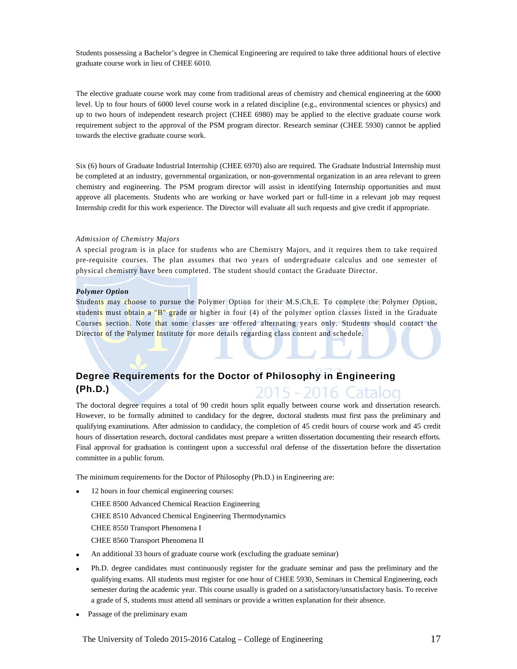Students possessing a Bachelor's degree in Chemical Engineering are required to take three additional hours of elective graduate course work in lieu of CHEE 6010.

The elective graduate course work may come from traditional areas of chemistry and chemical engineering at the 6000 level. Up to four hours of 6000 level course work in a related discipline (e.g., environmental sciences or physics) and up to two hours of independent research project (CHEE 6980) may be applied to the elective graduate course work requirement subject to the approval of the PSM program director. Research seminar (CHEE 5930) cannot be applied towards the elective graduate course work.

Six (6) hours of Graduate Industrial Internship (CHEE 6970) also are required. The Graduate Industrial Internship must be completed at an industry, governmental organization, or non-governmental organization in an area relevant to green chemistry and engineering. The PSM program director will assist in identifying Internship opportunities and must approve all placements. Students who are working or have worked part or full-time in a relevant job may request Internship credit for this work experience. The Director will evaluate all such requests and give credit if appropriate.

#### *Admission of Chemistry Majors*

A special program is in place for students who are Chemistry Majors, and it requires them to take required pre-requisite courses. The plan assumes that two years of undergraduate calculus and one semester of physical chemistry have been completed. The student should contact the Graduate Director.

#### *Polymer Option*

Students may choose to pursue the Polymer Option for their M.S.Ch.E. To complete the Polymer Option, students must obtain a "B" grade or higher in four (4) of the polymer option classes listed in the Graduate Courses section. Note that some classes are offered alternating years only. Students should contact the Director of the Polymer Institute for more details regarding class content and schedule.

#### **Degree Requirements for the Doctor of Philosophy in Engineering (Ph.D.)** 2015 - 2016. Catalog

The doctoral degree requires a total of 90 credit hours split equally between course work and dissertation research. However, to be formally admitted to candidacy for the degree, doctoral students must first pass the preliminary and qualifying examinations. After admission to candidacy, the completion of 45 credit hours of course work and 45 credit hours of dissertation research, doctoral candidates must prepare a written dissertation documenting their research efforts. Final approval for graduation is contingent upon a successful oral defense of the dissertation before the dissertation committee in a public forum.

The minimum requirements for the Doctor of Philosophy (Ph.D.) in Engineering are:

- 12 hours in four chemical engineering courses: CHEE 8500 Advanced Chemical Reaction Engineering CHEE 8510 Advanced Chemical Engineering Thermodynamics CHEE 8550 Transport Phenomena I CHEE 8560 Transport Phenomena II
- An additional 33 hours of graduate course work (excluding the graduate seminar)
- Ph.D. degree candidates must continuously register for the graduate seminar and pass the preliminary and the qualifying exams. All students must register for one hour of CHEE 5930, Seminars in Chemical Engineering, each semester during the academic year. This course usually is graded on a satisfactory/unsatisfactory basis. To receive a grade of S, students must attend all seminars or provide a written explanation for their absence.
- Passage of the preliminary exam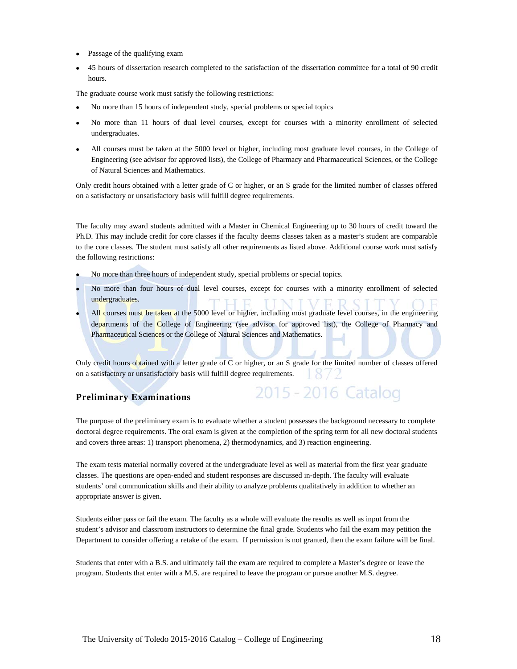- Passage of the qualifying exam
- 45 hours of dissertation research completed to the satisfaction of the dissertation committee for a total of 90 credit hours.

The graduate course work must satisfy the following restrictions:

- No more than 15 hours of independent study, special problems or special topics
- No more than 11 hours of dual level courses, except for courses with a minority enrollment of selected undergraduates.
- All courses must be taken at the 5000 level or higher, including most graduate level courses, in the College of Engineering (see advisor for approved lists), the College of Pharmacy and Pharmaceutical Sciences, or the College of Natural Sciences and Mathematics.

Only credit hours obtained with a letter grade of C or higher, or an S grade for the limited number of classes offered on a satisfactory or unsatisfactory basis will fulfill degree requirements.

The faculty may award students admitted with a Master in Chemical Engineering up to 30 hours of credit toward the Ph.D. This may include credit for core classes if the faculty deems classes taken as a master's student are comparable to the core classes. The student must satisfy all other requirements as listed above. Additional course work must satisfy the following restrictions:

- No more than three hours of independent study, special problems or special topics.
- No more than four hours of dual level courses, except for courses with a minority enrollment of selected undergraduates.
- All courses must be taken at the 5000 level or higher, including most graduate level courses, in the engineering departments of the College of Engineering (see advisor for approved list), the College of Pharmacy and Pharmaceutical Sciences or the College of Natural Sciences and Mathematics.

Only credit hours obtained with a letter grade of C or higher, or an S grade for the limited number of classes offered on a satisfactory or unsatisfactory basis will fulfill degree requirements.

2015 - 2016 Catalog

#### **Preliminary Examinations**

The purpose of the preliminary exam is to evaluate whether a student possesses the background necessary to complete doctoral degree requirements. The oral exam is given at the completion of the spring term for all new doctoral students and covers three areas: 1) transport phenomena, 2) thermodynamics, and 3) reaction engineering.

The exam tests material normally covered at the undergraduate level as well as material from the first year graduate classes. The questions are open-ended and student responses are discussed in-depth. The faculty will evaluate students' oral communication skills and their ability to analyze problems qualitatively in addition to whether an appropriate answer is given.

Students either pass or fail the exam. The faculty as a whole will evaluate the results as well as input from the student's advisor and classroom instructors to determine the final grade. Students who fail the exam may petition the Department to consider offering a retake of the exam. If permission is not granted, then the exam failure will be final.

Students that enter with a B.S. and ultimately fail the exam are required to complete a Master's degree or leave the program. Students that enter with a M.S. are required to leave the program or pursue another M.S. degree.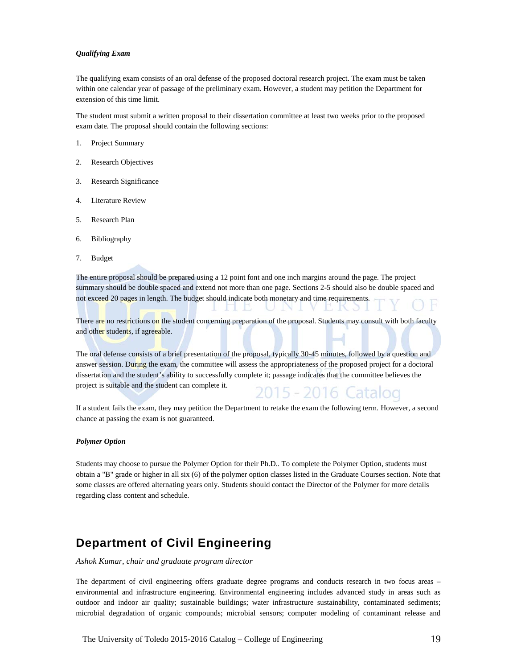#### *Qualifying Exam*

The qualifying exam consists of an oral defense of the proposed doctoral research project. The exam must be taken within one calendar year of passage of the preliminary exam. However, a student may petition the Department for extension of this time limit.

The student must submit a written proposal to their dissertation committee at least two weeks prior to the proposed exam date. The proposal should contain the following sections:

- 1. Project Summary
- 2. Research Objectives
- 3. Research Significance
- 4. Literature Review
- 5. Research Plan
- 6. Bibliography
- 7. Budget

The entire proposal should be prepared using a 12 point font and one inch margins around the page. The project summary should be double spaced and extend not more than one page. Sections 2-5 should also be double spaced and not exceed 20 pages in length. The budget should indicate both monetary and time requirements. 1 E

There are no restrictions on the student concerning preparation of the proposal. Students may consult with both faculty and other students, if agreeable.

U I

NU

The oral defense consists of a brief presentation of the proposal, typically 30-45 minutes, followed by a question and answer session. During the exam, the committee will assess the appropriateness of the proposed project for a doctoral dissertation and the student's ability to successfully complete it; passage indicates that the committee believes the project is suitable and the student can complete it.



D. K.O.

If a student fails the exam, they may petition the Department to retake the exam the following term. However, a second chance at passing the exam is not guaranteed.

#### *Polymer Option*

Students may choose to pursue the Polymer Option for their Ph.D.. To complete the Polymer Option, students must obtain a "B" grade or higher in all six (6) of the polymer option classes listed in the Graduate Courses section. Note that some classes are offered alternating years only. Students should contact the Director of the Polymer for more details regarding class content and schedule.

# **Department of Civil Engineering**

*Ashok Kumar, chair and graduate program director*

The department of civil engineering offers graduate degree programs and conducts research in two focus areas – environmental and infrastructure engineering. Environmental engineering includes advanced study in areas such as outdoor and indoor air quality; sustainable buildings; water infrastructure sustainability, contaminated sediments; microbial degradation of organic compounds; microbial sensors; computer modeling of contaminant release and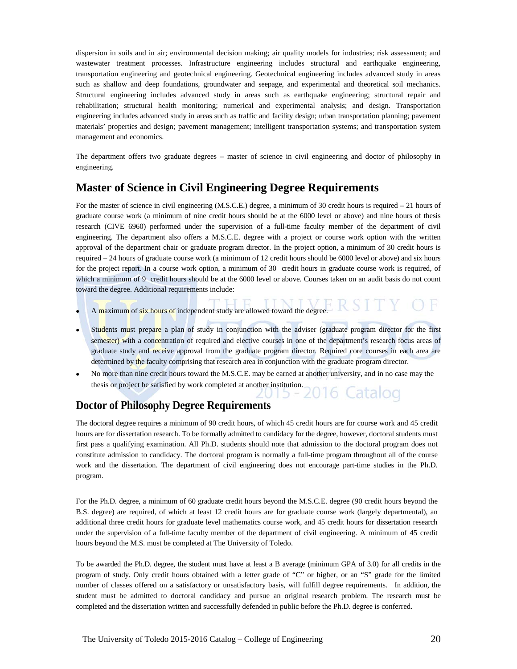dispersion in soils and in air; environmental decision making; air quality models for industries; risk assessment; and wastewater treatment processes. Infrastructure engineering includes structural and earthquake engineering, transportation engineering and geotechnical engineering. Geotechnical engineering includes advanced study in areas such as shallow and deep foundations, groundwater and seepage, and experimental and theoretical soil mechanics. Structural engineering includes advanced study in areas such as earthquake engineering; structural repair and rehabilitation; structural health monitoring; numerical and experimental analysis; and design. Transportation engineering includes advanced study in areas such as traffic and facility design; urban transportation planning; pavement materials' properties and design; pavement management; intelligent transportation systems; and transportation system management and economics.

The department offers two graduate degrees – master of science in civil engineering and doctor of philosophy in engineering.

## **Master of Science in Civil Engineering Degree Requirements**

For the master of science in civil engineering (M.S.C.E.) degree, a minimum of 30 credit hours is required – 21 hours of graduate course work (a minimum of nine credit hours should be at the 6000 level or above) and nine hours of thesis research (CIVE 6960) performed under the supervision of a full-time faculty member of the department of civil engineering. The department also offers a M.S.C.E. degree with a project or course work option with the written approval of the department chair or graduate program director. In the project option, a minimum of 30 credit hours is required – 24 hours of graduate course work (a minimum of 12 credit hours should be 6000 level or above) and six hours for the project report. In a course work option, a minimum of 30 credit hours in graduate course work is required, of which a minimum of 9 credit hours should be at the 6000 level or above. Courses taken on an audit basis do not count toward the degree. Additional requirements include:

- A maximum of six hours of independent study are allowed toward the degree.
- Students must prepare a plan of study in conjunction with the adviser (graduate program director for the first semester) with a concentration of required and elective courses in one of the department's research focus areas of graduate study and receive approval from the graduate program director. Required core courses in each area are determined by the faculty comprising that research area in conjunction with the graduate program director.
- No more than nine credit hours toward the M.S.C.E. may be earned at another university, and in no case may the thesis or project be satisfied by work completed at another institution. iatalog

### **Doctor of Philosophy Degree Requirements**

The doctoral degree requires a minimum of 90 credit hours, of which 45 credit hours are for course work and 45 credit hours are for dissertation research. To be formally admitted to candidacy for the degree, however, doctoral students must first pass a qualifying examination. All Ph.D. students should note that admission to the doctoral program does not constitute admission to candidacy. The doctoral program is normally a full-time program throughout all of the course work and the dissertation. The department of civil engineering does not encourage part-time studies in the Ph.D. program.

For the Ph.D. degree, a minimum of 60 graduate credit hours beyond the M.S.C.E. degree (90 credit hours beyond the B.S. degree) are required, of which at least 12 credit hours are for graduate course work (largely departmental), an additional three credit hours for graduate level mathematics course work, and 45 credit hours for dissertation research under the supervision of a full-time faculty member of the department of civil engineering. A minimum of 45 credit hours beyond the M.S. must be completed at The University of Toledo.

To be awarded the Ph.D. degree, the student must have at least a B average (minimum GPA of 3.0) for all credits in the program of study. Only credit hours obtained with a letter grade of "C" or higher, or an "S" grade for the limited number of classes offered on a satisfactory or unsatisfactory basis, will fulfill degree requirements. In addition, the student must be admitted to doctoral candidacy and pursue an original research problem. The research must be completed and the dissertation written and successfully defended in public before the Ph.D. degree is conferred.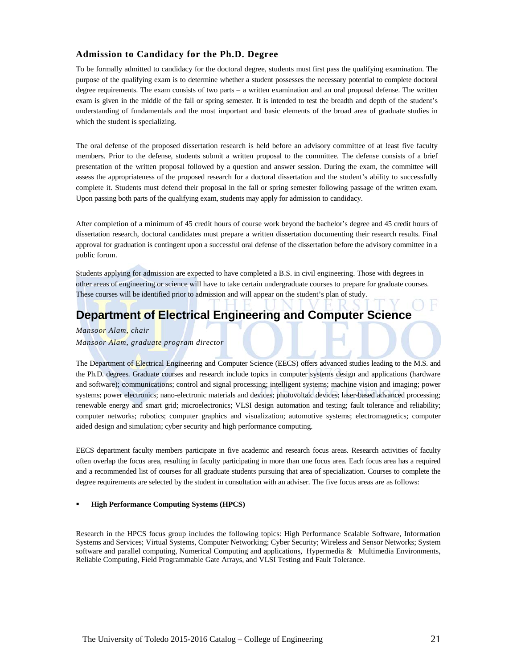#### **Admission to Candidacy for the Ph.D. Degree**

To be formally admitted to candidacy for the doctoral degree, students must first pass the qualifying examination. The purpose of the qualifying exam is to determine whether a student possesses the necessary potential to complete doctoral degree requirements. The exam consists of two parts – a written examination and an oral proposal defense. The written exam is given in the middle of the fall or spring semester. It is intended to test the breadth and depth of the student's understanding of fundamentals and the most important and basic elements of the broad area of graduate studies in which the student is specializing.

The oral defense of the proposed dissertation research is held before an advisory committee of at least five faculty members. Prior to the defense, students submit a written proposal to the committee. The defense consists of a brief presentation of the written proposal followed by a question and answer session. During the exam, the committee will assess the appropriateness of the proposed research for a doctoral dissertation and the student's ability to successfully complete it. Students must defend their proposal in the fall or spring semester following passage of the written exam. Upon passing both parts of the qualifying exam, students may apply for admission to candidacy.

After completion of a minimum of 45 credit hours of course work beyond the bachelor's degree and 45 credit hours of dissertation research, doctoral candidates must prepare a written dissertation documenting their research results. Final approval for graduation is contingent upon a successful oral defense of the dissertation before the advisory committee in a public forum.

Students applying for admission are expected to have completed a B.S. in civil engineering. Those with degrees in other areas of engineering or science will have to take certain undergraduate courses to prepare for graduate courses. These courses will be identified prior to admission and will appear on the student's plan of study.

# **Department of Electrical Engineering and Computer Science**

*Mansoor Alam, chair*

*Mansoor Alam, graduate program director*

The Department of Electrical Engineering and Computer Science (EECS) offers advanced studies leading to the M.S. and the Ph.D. degrees. Graduate courses and research include topics in computer systems design and applications (hardware and software); communications; control and signal processing; intelligent systems; machine vision and imaging; power systems; power electronics; nano-electronic materials and devices; photovoltaic devices; laser-based advanced processing; renewable energy and smart grid; microelectronics; VLSI design automation and testing; fault tolerance and reliability; computer networks; robotics; computer graphics and visualization; automotive systems; electromagnetics; computer aided design and simulation; cyber security and high performance computing.

EECS department faculty members participate in five academic and research focus areas. Research activities of faculty often overlap the focus area, resulting in faculty participating in more than one focus area. Each focus area has a required and a recommended list of courses for all graduate students pursuing that area of specialization. Courses to complete the degree requirements are selected by the student in consultation with an adviser. The five focus areas are as follows:

#### **High Performance Computing Systems (HPCS)**

Research in the HPCS focus group includes the following topics: High Performance Scalable Software, Information Systems and Services; Virtual Systems, Computer Networking; Cyber Security; Wireless and Sensor Networks; System software and parallel computing, Numerical Computing and applications, Hypermedia & Multimedia Environments, Reliable Computing, Field Programmable Gate Arrays, and VLSI Testing and Fault Tolerance.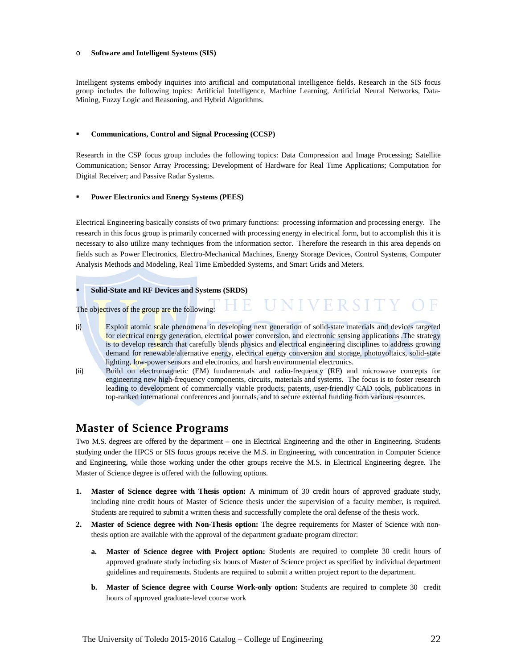#### o **Software and Intelligent Systems (SIS)**

Intelligent systems embody inquiries into artificial and computational intelligence fields. Research in the SIS focus group includes the following topics: Artificial Intelligence, Machine Learning, Artificial Neural Networks, Data-Mining, Fuzzy Logic and Reasoning, and Hybrid Algorithms.

#### **Communications, Control and Signal Processing (CCSP)**

Research in the CSP focus group includes the following topics: Data Compression and Image Processing; Satellite Communication; Sensor Array Processing; Development of Hardware for Real Time Applications; Computation for Digital Receiver; and Passive Radar Systems.

#### **Power Electronics and Energy Systems (PEES)**

Electrical Engineering basically consists of two primary functions: processing information and processing energy. The research in this focus group is primarily concerned with processing energy in electrical form, but to accomplish this it is necessary to also utilize many techniques from the information sector. Therefore the research in this area depends on fields such as Power Electronics, Electro-Mechanical Machines, Energy Storage Devices, Control Systems, Computer Analysis Methods and Modeling, Real Time Embedded Systems, and Smart Grids and Meters.

#### **Solid-State and RF Devices and Systems (SRDS)**

The objectives of the group are the following:

(i) Exploit atomic scale phenomena in developing next generation of solid-state materials and devices targeted for electrical energy generation, electrical power conversion, and electronic sensing applications .The strategy is to develop research that carefully blends physics and electrical engineering disciplines to address growing demand for renewable/alternative energy, electrical energy conversion and storage, photovoltaics, solid-state lighting, low-power sensors and electronics, and harsh environmental electronics.

**UNIVERSITY** 

(ii) Build on electromagnetic (EM) fundamentals and radio-frequency (RF) and microwave concepts for engineering new high-frequency components, circuits, materials and systems. The focus is to foster research leading to development of commercially viable products, patents, user-friendly CAD tools, publications in top-ranked international conferences and journals, and to secure external funding from various resources.

## **Master of Science Programs**

Two M.S. degrees are offered by the department – one in Electrical Engineering and the other in Engineering. Students studying under the HPCS or SIS focus groups receive the M.S. in Engineering, with concentration in Computer Science and Engineering, while those working under the other groups receive the M.S. in Electrical Engineering degree. The Master of Science degree is offered with the following options.

- **1. Master of Science degree with Thesis option:** A minimum of 30 credit hours of approved graduate study, including nine credit hours of Master of Science thesis under the supervision of a faculty member, is required. Students are required to submit a written thesis and successfully complete the oral defense of the thesis work.
- **2. Master of Science degree with Non-Thesis option:** The degree requirements for Master of Science with nonthesis option are available with the approval of the department graduate program director:
	- **a. Master of Science degree with Project option:** Students are required to complete 30 credit hours of approved graduate study including six hours of Master of Science project as specified by individual department guidelines and requirements. Students are required to submit a written project report to the department.
	- **b. Master of Science degree with Course Work-only option:** Students are required to complete 30 credit hours of approved graduate-level course work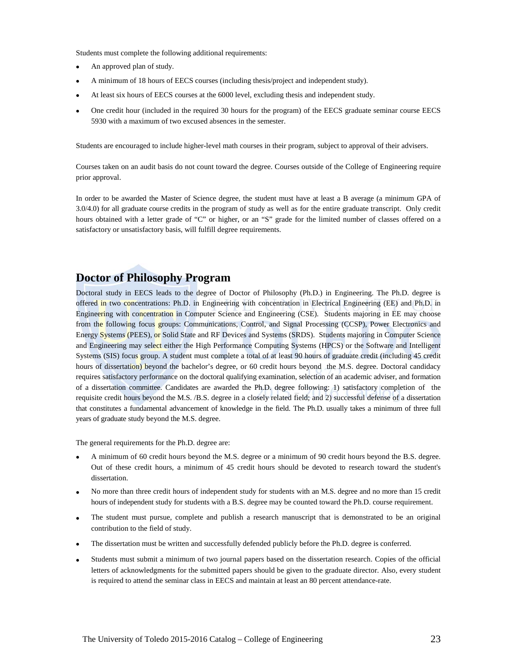Students must complete the following additional requirements:

- An approved plan of study.
- A minimum of 18 hours of EECS courses (including thesis/project and independent study).
- At least six hours of EECS courses at the 6000 level, excluding thesis and independent study.
- One credit hour (included in the required 30 hours for the program) of the EECS graduate seminar course EECS 5930 with a maximum of two excused absences in the semester.

Students are encouraged to include higher-level math courses in their program, subject to approval of their advisers.

Courses taken on an audit basis do not count toward the degree. Courses outside of the College of Engineering require prior approval.

In order to be awarded the Master of Science degree, the student must have at least a B average (a minimum GPA of 3.0/4.0) for all graduate course credits in the program of study as well as for the entire graduate transcript. Only credit hours obtained with a letter grade of "C" or higher, or an "S" grade for the limited number of classes offered on a satisfactory or unsatisfactory basis, will fulfill degree requirements.

## **Doctor of Philosophy Program**

Doctoral study in EECS leads to the degree of Doctor of Philosophy (Ph.D.) in Engineering. The Ph.D. degree is offered in two concentrations: Ph.D. in Engineering with concentration in Electrical Engineering (EE) and Ph.D. in Engineering with concentration in Computer Science and Engineering (CSE). Students majoring in EE may choose from the following focus groups: Communications, Control, and Signal Processing (CCSP), Power Electronics and Energy Systems (PEES), or Solid State and RF Devices and Systems (SRDS). Students majoring in Computer Science and Engineering may select either the High Performance Computing Systems (HPCS) or the Software and Intelligent Systems (SIS) focus group. A student must complete a total of at least 90 hours of graduate credit (including 45 credit hours of dissertation) beyond the bachelor's degree, or 60 credit hours beyond the M.S. degree. Doctoral candidacy requires satisfactory performance on the doctoral qualifying examination, selection of an academic adviser, and formation of a dissertation committee. Candidates are awarded the Ph.D. degree following: 1) satisfactory completion of the requisite credit hours beyond the M.S. /B.S. degree in a closely related field; and 2) successful defense of a dissertation that constitutes a fundamental advancement of knowledge in the field. The Ph.D. usually takes a minimum of three full years of graduate study beyond the M.S. degree.

The general requirements for the Ph.D. degree are:

- A minimum of 60 credit hours beyond the M.S. degree or a minimum of 90 credit hours beyond the B.S. degree. Out of these credit hours, a minimum of 45 credit hours should be devoted to research toward the student's dissertation.
- No more than three credit hours of independent study for students with an M.S. degree and no more than 15 credit hours of independent study for students with a B.S. degree may be counted toward the Ph.D. course requirement.
- The student must pursue, complete and publish a research manuscript that is demonstrated to be an original contribution to the field of study.
- The dissertation must be written and successfully defended publicly before the Ph.D. degree is conferred.
- Students must submit a minimum of two journal papers based on the dissertation research. Copies of the official letters of acknowledgments for the submitted papers should be given to the graduate director. Also, every student is required to attend the seminar class in EECS and maintain at least an 80 percent attendance-rate.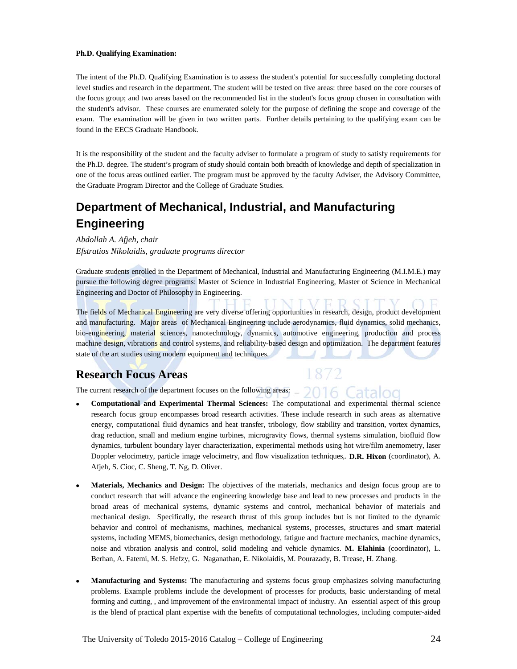#### **Ph.D. Qualifying Examination:**

The intent of the Ph.D. Qualifying Examination is to assess the student's potential for successfully completing doctoral level studies and research in the department. The student will be tested on five areas: three based on the core courses of the focus group; and two areas based on the recommended list in the student's focus group chosen in consultation with the student's advisor. These courses are enumerated solely for the purpose of defining the scope and coverage of the exam. The examination will be given in two written parts. Further details pertaining to the qualifying exam can be found in the EECS Graduate Handbook.

It is the responsibility of the student and the faculty adviser to formulate a program of study to satisfy requirements for the Ph.D. degree. The student's program of study should contain both breadth of knowledge and depth of specialization in one of the focus areas outlined earlier. The program must be approved by the faculty Adviser, the Advisory Committee, the Graduate Program Director and the College of Graduate Studies.

# **Department of Mechanical, Industrial, and Manufacturing Engineering**

#### *Abdollah A. Afjeh, chair Efstratios Nikolaidis, graduate programs director*

Graduate students enrolled in the Department of Mechanical, Industrial and Manufacturing Engineering (M.I.M.E.) may pursue the following degree programs: Master of Science in Industrial Engineering, Master of Science in Mechanical Engineering and Doctor of Philosophy in Engineering.

The fields of Mechanical Engineering are very diverse offering opportunities in research, design, product development and manufacturing. Major areas of Mechanical Engineering include aerodynamics, fluid dynamics, solid mechanics, bio-engineering, material sciences, nanotechnology, dynamics, automotive engineering, production and process machine design, vibrations and control systems, and reliability-based design and optimization. The department features state of the art studies using modern equipment and techniques.

1872

## **Research Focus Areas**

The current research of the department focuses on the following areas: 2016 Catalog

- **Computational and Experimental Thermal Sciences:** The computational and experimental thermal science research focus group encompasses broad research activities. These include research in such areas as alternative energy, computational fluid dynamics and heat transfer, tribology, flow stability and transition, vortex dynamics, drag reduction, small and medium engine turbines, microgravity flows, thermal systems simulation, biofluid flow dynamics, turbulent boundary layer characterization, experimental methods using hot wire/film anemometry, laser Doppler velocimetry, particle image velocimetry, and flow visualization techniques,. **D.R. Hixon** (coordinator), A. Afjeh, S. Cioc, C. Sheng, T. Ng, D. Oliver.
- **Materials, Mechanics and Design:** The objectives of the materials, mechanics and design focus group are to conduct research that will advance the engineering knowledge base and lead to new processes and products in the broad areas of mechanical systems, dynamic systems and control, mechanical behavior of materials and mechanical design. Specifically, the research thrust of this group includes but is not limited to the dynamic behavior and control of mechanisms, machines, mechanical systems, processes, structures and smart material systems, including MEMS, biomechanics, design methodology, fatigue and fracture mechanics, machine dynamics, noise and vibration analysis and control, solid modeling and vehicle dynamics. **M. Elahinia** (coordinator), L. Berhan, A. Fatemi, M. S. Hefzy, G. Naganathan, E. Nikolaidis, M. Pourazady, B. Trease, H. Zhang.
- **Manufacturing and Systems:** The manufacturing and systems focus group emphasizes solving manufacturing problems. Example problems include the development of processes for products, basic understanding of metal forming and cutting, , and improvement of the environmental impact of industry. An essential aspect of this group is the blend of practical plant expertise with the benefits of computational technologies, including computer-aided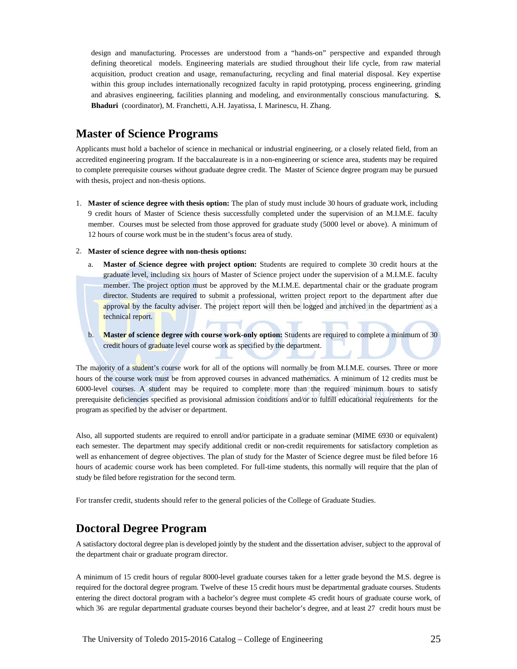design and manufacturing. Processes are understood from a "hands-on" perspective and expanded through defining theoretical models. Engineering materials are studied throughout their life cycle, from raw material acquisition, product creation and usage, remanufacturing, recycling and final material disposal. Key expertise within this group includes internationally recognized faculty in rapid prototyping, process engineering, grinding and abrasives engineering, facilities planning and modeling, and environmentally conscious manufacturing. **S. Bhaduri** (coordinator), M. Franchetti, A.H. Jayatissa, I. Marinescu, H. Zhang.

# **Master of Science Programs**

Applicants must hold a bachelor of science in mechanical or industrial engineering, or a closely related field, from an accredited engineering program. If the baccalaureate is in a non-engineering or science area, students may be required to complete prerequisite courses without graduate degree credit. The Master of Science degree program may be pursued with thesis, project and non-thesis options.

- 1. **Master of science degree with thesis option:** The plan of study must include 30 hours of graduate work, including 9 credit hours of Master of Science thesis successfully completed under the supervision of an M.I.M.E. faculty member. Courses must be selected from those approved for graduate study (5000 level or above). A minimum of 12 hours of course work must be in the student's focus area of study.
- 2. **Master of science degree with non-thesis options:**
	- a. **Master of Science degree with project option:** Students are required to complete 30 credit hours at the graduate level, including six hours of Master of Science project under the supervision of a M.I.M.E. faculty member. The project option must be approved by the M.I.M.E. departmental chair or the graduate program director. Students are required to submit a professional, written project report to the department after due approval by the faculty adviser. The project report will then be logged and archived in the department as a technical report.
	- b. **Master of science degree with course work-only option:** Students are required to complete a minimum of 30 credit hours of graduate level course work as specified by the department.

The majority of a student's course work for all of the options will normally be from M.I.M.E. courses. Three or more hours of the course work must be from approved courses in advanced mathematics. A minimum of 12 credits must be 6000-level courses. A student may be required to complete more than the required minimum hours to satisfy prerequisite deficiencies specified as provisional admission conditions and/or to fulfill educational requirements for the program as specified by the adviser or department.

Also, all supported students are required to enroll and/or participate in a graduate seminar (MIME 6930 or equivalent) each semester. The department may specify additional credit or non-credit requirements for satisfactory completion as well as enhancement of degree objectives. The plan of study for the Master of Science degree must be filed before 16 hours of academic course work has been completed. For full-time students, this normally will require that the plan of study be filed before registration for the second term.

For transfer credit, students should refer to the general policies of the College of Graduate Studies.

# **Doctoral Degree Program**

A satisfactory doctoral degree plan is developed jointly by the student and the dissertation adviser, subject to the approval of the department chair or graduate program director.

A minimum of 15 credit hours of regular 8000-level graduate courses taken for a letter grade beyond the M.S. degree is required for the doctoral degree program. Twelve of these 15 credit hours must be departmental graduate courses. Students entering the direct doctoral program with a bachelor's degree must complete 45 credit hours of graduate course work, of which 36 are regular departmental graduate courses beyond their bachelor's degree, and at least 27 credit hours must be